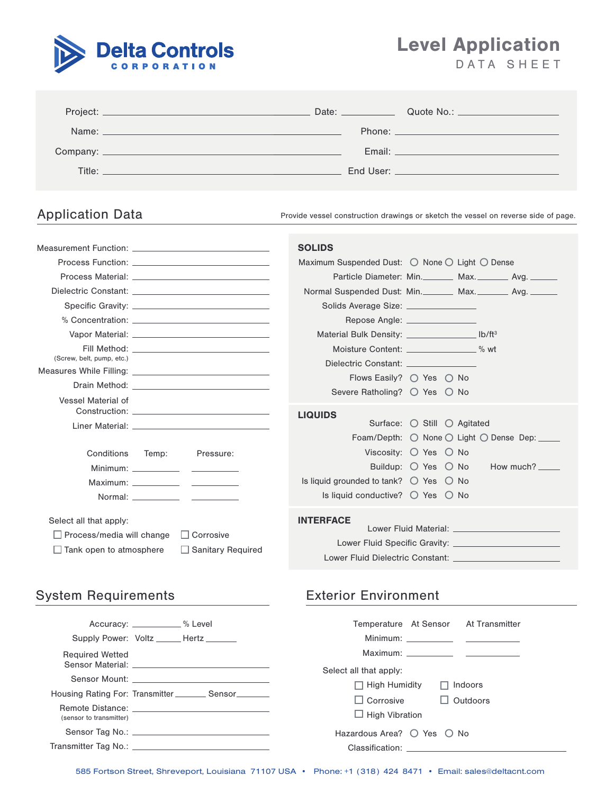

Level Application DATA SHEET

|  | End User: The Company of the Company of the Company of the Company of the Company of the Company of the Company |
|--|-----------------------------------------------------------------------------------------------------------------|

Application Data **Provide vessel construction drawings or sketch the vessel on reverse side of page.** 

| Measurement Function: Network and Contract the Contract of the Contract of the Contract of the Contract of the                               | <b>SOLIDS</b>                                                                                                                                                                        |  |  |  |
|----------------------------------------------------------------------------------------------------------------------------------------------|--------------------------------------------------------------------------------------------------------------------------------------------------------------------------------------|--|--|--|
|                                                                                                                                              | Maximum Suspended Dust: ◯ None ◯ Light ◯ Dense                                                                                                                                       |  |  |  |
|                                                                                                                                              | Particle Diameter: Min. ________ Max. ________ Avg. _______                                                                                                                          |  |  |  |
|                                                                                                                                              | Normal Suspended Dust: Min. ________ Max. ________ Avg. _______                                                                                                                      |  |  |  |
|                                                                                                                                              | Solids Average Size: <u>________________</u>                                                                                                                                         |  |  |  |
| % Concentration: Annual Science of Texas and Texas and Texas and Texas and Texas and Texas and Texas and Texas                               | Repose Angle: ________________                                                                                                                                                       |  |  |  |
|                                                                                                                                              | Material Bulk Density: _________________ lb/ft <sup>3</sup>                                                                                                                          |  |  |  |
|                                                                                                                                              | Moisture Content: ________________% wt                                                                                                                                               |  |  |  |
| (Screw, belt, pump, etc.)                                                                                                                    | Dielectric Constant: Entertainment of the Constant:                                                                                                                                  |  |  |  |
| Measures While Filling: New York State of the Measures While Filling:                                                                        | Flows Easily? $\bigcirc$ Yes $\bigcirc$ No                                                                                                                                           |  |  |  |
|                                                                                                                                              | Severe Ratholing? O Yes O No                                                                                                                                                         |  |  |  |
| Vessel Material of                                                                                                                           |                                                                                                                                                                                      |  |  |  |
|                                                                                                                                              | <b>LIQUIDS</b><br>Surface: $\bigcirc$ Still $\bigcirc$ Agitated                                                                                                                      |  |  |  |
|                                                                                                                                              | Foam/Depth: ○ None ○ Light ○ Dense Dep: _____                                                                                                                                        |  |  |  |
| Conditions Temp:<br>Pressure:                                                                                                                | Viscosity: $\bigcirc$ Yes $\bigcirc$ No                                                                                                                                              |  |  |  |
|                                                                                                                                              | Buildup: $\bigcirc$ Yes $\bigcirc$ No How much? _____                                                                                                                                |  |  |  |
|                                                                                                                                              | Is liquid grounded to tank? $\bigcirc$ Yes $\bigcirc$ No                                                                                                                             |  |  |  |
|                                                                                                                                              | Is liquid conductive? $\bigcirc$ Yes $\bigcirc$ No                                                                                                                                   |  |  |  |
| Select all that apply:<br>$\Box$ Corrosive<br>$\Box$ Process/media will change<br>$\Box$ Tank open to atmosphere<br>$\Box$ Sanitary Required | <b>INTERFACE</b><br>Lower Fluid Material: Entry and the Company of the Company of the Company of the Company of the Company of the<br>Lower Fluid Dielectric Constant: New York 1986 |  |  |  |

# System Requirements **Exterior Environment**

|                         | Accuracy: <u>______________</u> % Level                       | Temperature At Sensor At Transmitter                                                                                                                                                                                           |
|-------------------------|---------------------------------------------------------------|--------------------------------------------------------------------------------------------------------------------------------------------------------------------------------------------------------------------------------|
|                         | Supply Power: Voltz ______ Hertz _______                      |                                                                                                                                                                                                                                |
| <b>Required Wetted</b>  |                                                               | Select all that apply:                                                                                                                                                                                                         |
|                         | Housing Rating For: Transmitter ____________ Sensor__________ | $\Box$ High Humidity<br>$\Box$ Indoors<br>$\Box$ Outdoors<br>$\Box$ Corrosive                                                                                                                                                  |
| (sensor to transmitter) |                                                               | $\Box$ High Vibration                                                                                                                                                                                                          |
|                         |                                                               | Hazardous Area? $\bigcirc$ Yes $\bigcirc$ No                                                                                                                                                                                   |
|                         |                                                               | Classification: the contract of the contract of the contract of the contract of the contract of the contract of the contract of the contract of the contract of the contract of the contract of the contract of the contract o |